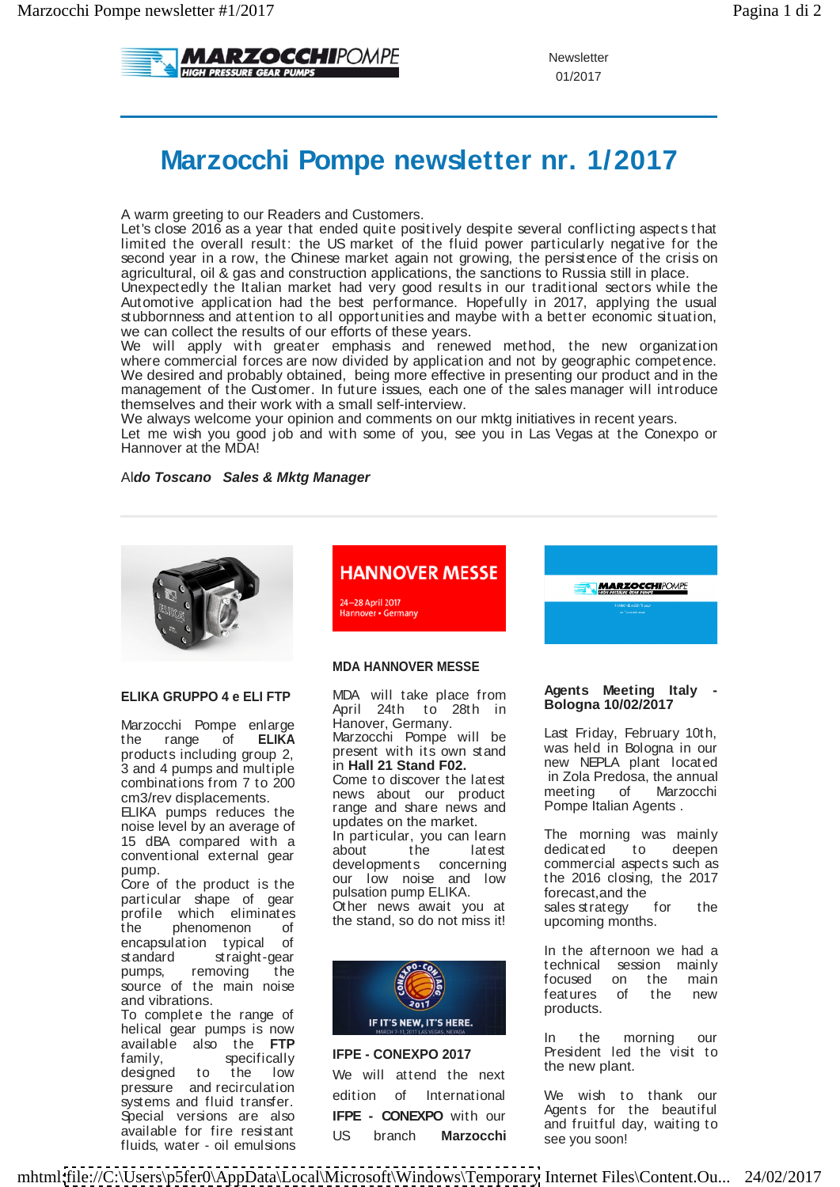

Newsletter and the state of the state of the state of the state of the state of the state of the state of the state of the state of the state of the state of the state of the state of the state of the state of the state of 01/2017

# **Marzocchi Pompe newsletter nr. 1/2017**

A warm greeting to our Readers and Customers.

Let's close 2016 as a year that ended quite positively despite several conflicting aspects that limited the overall result: the US market of the fluid power particularly negative for the second year in a row, the Chinese market again not growing, the persistence of the crisis on agricultural, oil & gas and construction applications, the sanctions to Russia still in place.

Unexpectedly the Italian market had verygood results in our traditional sectors while the Automotive application had the best performance. Hopefully in 2017, applying the usual stubbornness and attention to all opportunities and maybe with a better economic situation, we can collect the results of our efforts of these years.

We will apply with greater emphasis and renewed method, the new organization where commercial forces are now divided by application and not by geographic competence. We desired and probably obtained, being more effective in presenting our product and in the management of the Customer. In future issues, each one of the sales manager will introduce themselves and their work with a small self-interview.

We always welcome your opinion and comments on our mktg initiatives in recent years. Let me wish you good job and with some of you, see you in Las Vegas at the Conexpo or Hannover at the MDA!

# Al**do Toscano Sales & Mktg Manager**



noise level by an average of updates on the market.<br>15 dBA compared with a ln particular, you can learn

the phenomenon of the stand, so do not missing upcoming months. encapsulation typical of the state of the state of the state of the state of the state of the state of the state of the state of the state of the state of the state of the state of the state of the state of the state of th

available for fire resistant US branch **Marzocchi** see you soon!

# **HANNOVER MESSE**

24-28 April 2017<br>Hannover • Germany

## **MDA HANNOVER MESSE**

**ELIKA GRUPPO 4 e ELI FTP** MDA will take place from **the server from the server of the server of the server of the server of the server of the server of the server of the server of the server of the server of the server of** Marzocchi Pompe enlarge Hanover, Germany. The Lost Friday February 40th Marzocchi Pompe enlarge the range of **ELIKA** Marzocchi-Pompe will be the bold in Pologne in the theory of the theory of the theory of the theory is all the theory in the theory is all the theory is all the theory is all the theory is all the theo products including group 2,  $\frac{1}{2}$  present with its own stand  $\frac{1}{2}$  and  $\frac{1}{2}$  and  $\frac{1}{2}$  and  $\frac{1}{2}$  and  $\frac{1}{2}$  and  $\frac{1}{2}$  and  $\frac{1}{2}$  and  $\frac{1}{2}$ 3 and 4 pumps and multiple  $\frac{1}{2}$  **hall 21 Stand F02.** The set in  $\frac{1}{2}$  and  $\frac{1}{2}$  plaint in  $\frac{1}{2}$  cannot combinations from 7 to 200  $\mu$  Come to discover the latest the neutring of Marino in the combinations of the combinations of  $\mu$ combinations from 7 to 200<br>cm3/rev displacements. The mews about our product meeting of Marzocchi<br>FLIKA numns reduces the range and share news and Pompe Italian Agents. ELIKA pumps reduces the fange and share news and from periodical Agents. 15 dBA compared with a line particular, you can learn the fillowing was intermed with a compared with a second the latest dedicated to deepen<br>conventional external gear developments concerning commercial aspects such as pump. developments concerning commercial aspects such as Core of the product is the  $\frac{1}{2}$  culoming  $\frac{1}{2}$  and  $\frac{1}{2}$  and  $\frac{1}{2}$  and  $\frac{1}{2}$  and  $\frac{1}{2}$  and  $\frac{1}{2}$  and  $\frac{1}{2}$  and  $\frac{1}{2}$  and  $\frac{1}{2}$  and  $\frac{1}{2}$  and  $\frac{1}{2}$  and  $\frac{1}{2}$  and  $\frac{1}{2$  $\alpha$  particular shape of gear  $\alpha$  being the state of the contract of the particular shape of gear  $\alpha$ . profile which eliminates the character wait was an energy functional was expected to the profile which eliminates MDA will take place from **Agents weeting rany** -April 24th to 28th in **Bologna 10/02/2017** Hanover, Germany.<br>Marzocchi Pompe will be Marzocchi Pompe will be Last Friday, February 10th, present with its own stand was held in Bologna in our in **Hall 21 Stand F02.** The new NEPLA plant located<br>Come to discover the latest in Zola Predosa, the annual Come to discover the latest lin Zola Predosa, the annual news about our product range and share news and Pompe Italian Agents . updates on the market. In particular, you can learn about the latest our low noise and low the 2016 closing, the 2017 pulsation pump ELIKA. forecast, and the pulsation pump ELIKA. Other news await you at Other news await you at sales strategy<br>the stand, so do not miss it! upcoming mont



designed to the low We will attend the next the new plant. pressure and recirculation adition of International 18% with to these our systems and fluid transfer. The equitor of international the wise the training of the security of the security Special versions are also **IFPE - CONEXPO** with our  $\frac{1}{2}$  and functional in the beginning to available for fire resistant this branch **Marzocchi** are written and the section of the section of the section of We will attend the next the new plant. edition of International

**MARZOCCHIPOMPE** 

## **Agents Meeting Italy - Bologna 10/02/2017**

Last Friday, February 10th,<br>was held in Bologna in our was held in Bologna in our new NEPLA plant located in Zola Predosa, the annual meeting of Marzocchi Pompe Italian Agents .

The morning was mainly dedicated to deepen the 2016 closing, the 2017 forecast, and the state of the state of the state of the state of the state of the state of the state of the state of the state of the state of the state of the state of the state of the state of the state of the state of sales strategy for the upcoming months.

standard straight-gear and the contract of the straight-gear and the contract of the contract of the contract of the contract of the contract of the contract of the contract of the contract of the contract of the contract In the afternoon we had a technical session mainly focused on the main features of the new products.

available also the **FTP**  family, specifically IFPE - CONEXPO 2017 Frequently reserved the visit to **IFPE - CONEXPO 2017** President led the visit to In the morning our President led the visit to the new plant.

**IFPE - CONEXPO** with our US branch **Marzocchi**  We wish to thank our Agents for the beautiful and fruitful day, waiting to see you soon!